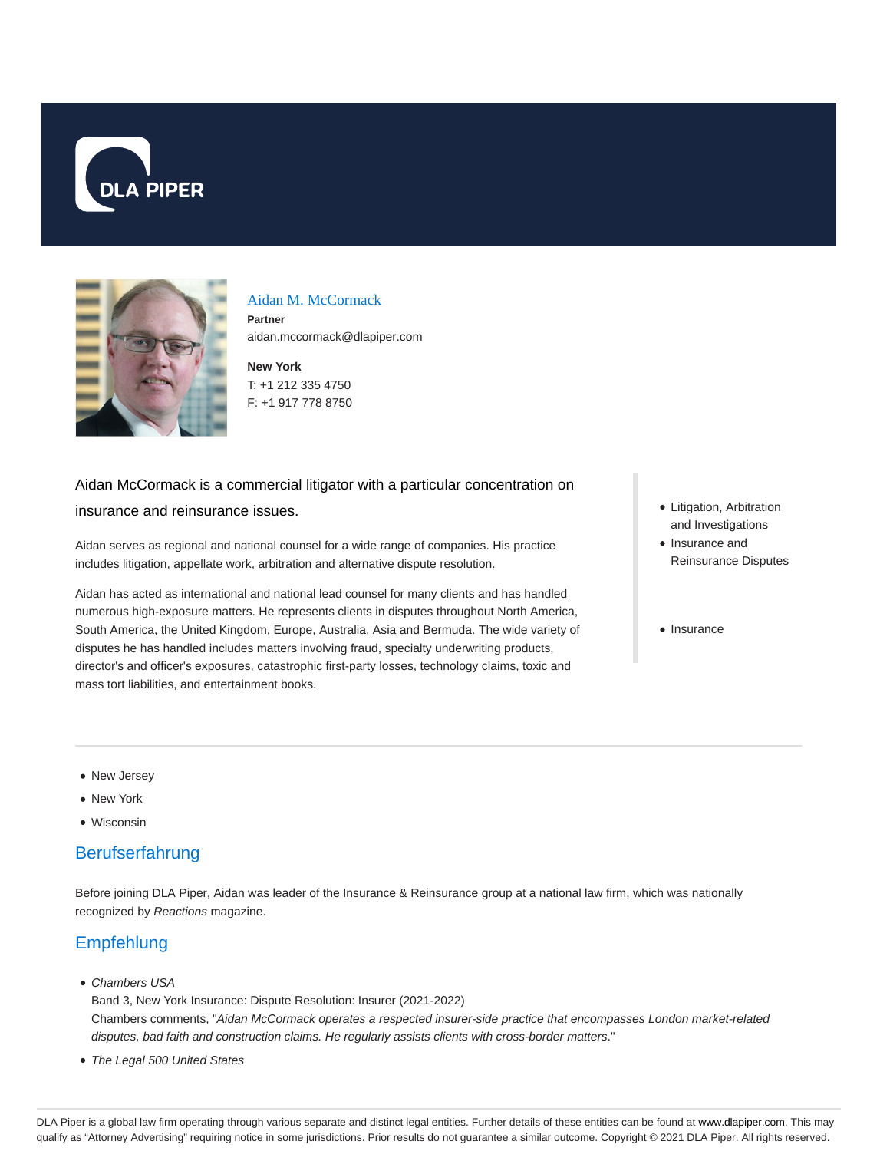



#### Aidan M. McCormack

**Partner** aidan.mccormack@dlapiper.com

**New York** T: +1 212 335 4750 F: +1 917 778 8750

# Aidan McCormack is a commercial litigator with a particular concentration on

#### insurance and reinsurance issues.

Aidan serves as regional and national counsel for a wide range of companies. His practice includes litigation, appellate work, arbitration and alternative dispute resolution.

Aidan has acted as international and national lead counsel for many clients and has handled numerous high-exposure matters. He represents clients in disputes throughout North America, South America, the United Kingdom, Europe, Australia, Asia and Bermuda. The wide variety of disputes he has handled includes matters involving fraud, specialty underwriting products, director's and officer's exposures, catastrophic first-party losses, technology claims, toxic and mass tort liabilities, and entertainment books.

- Litigation, Arbitration and Investigations
- Insurance and Reinsurance Disputes
- Insurance

- New Jersey
- New York
- Wisconsin

# Berufserfahrung

Before joining DLA Piper, Aidan was leader of the Insurance & Reinsurance group at a national law firm, which was nationally recognized by Reactions magazine.

# **Empfehlung**

• Chambers USA

Band 3, New York Insurance: Dispute Resolution: Insurer (2021-2022) Chambers comments, "Aidan McCormack operates a respected insurer-side practice that encompasses London market-related disputes, bad faith and construction claims. He regularly assists clients with cross-border matters."

The Legal 500 United States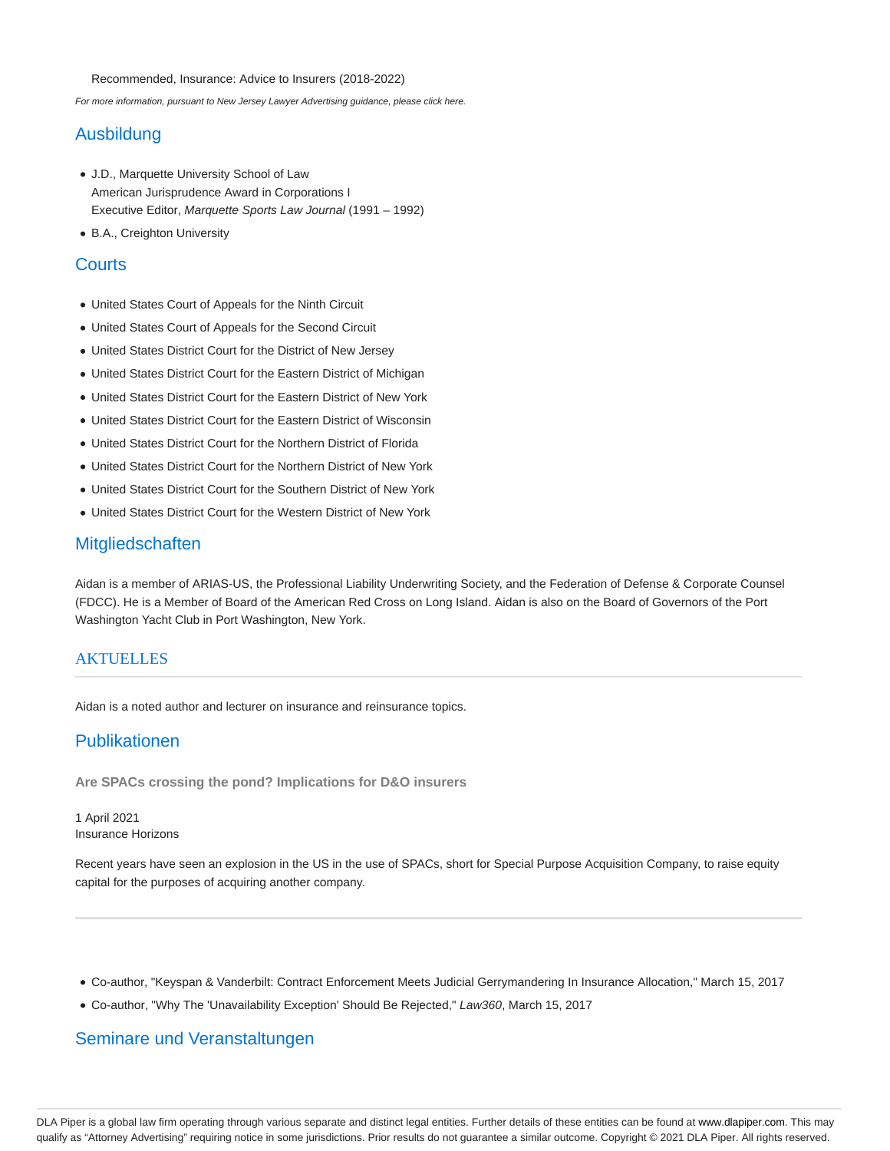Recommended, Insurance: Advice to Insurers (2018-2022)

For more information, pursuant to New Jersey Lawyer Advertising guidance, please click here.

### Ausbildung

- J.D., Marquette University School of Law American Jurisprudence Award in Corporations I Executive Editor, Marquette Sports Law Journal (1991 – 1992)
- B.A., Creighton University

### **Courts**

- United States Court of Appeals for the Ninth Circuit
- United States Court of Appeals for the Second Circuit
- United States District Court for the District of New Jersey
- United States District Court for the Eastern District of Michigan
- United States District Court for the Eastern District of New York
- United States District Court for the Eastern District of Wisconsin
- United States District Court for the Northern District of Florida
- United States District Court for the Northern District of New York
- United States District Court for the Southern District of New York
- United States District Court for the Western District of New York

### Mitgliedschaften

Aidan is a member of ARIAS-US, the Professional Liability Underwriting Society, and the Federation of Defense & Corporate Counsel (FDCC). He is a Member of Board of the American Red Cross on Long Island. Aidan is also on the Board of Governors of the Port Washington Yacht Club in Port Washington, New York.

#### **AKTUELLES**

Aidan is a noted author and lecturer on insurance and reinsurance topics.

### Publikationen

**Are SPACs crossing the pond? Implications for D&O insurers**

1 April 2021 Insurance Horizons

Recent years have seen an explosion in the US in the use of SPACs, short for Special Purpose Acquisition Company, to raise equity capital for the purposes of acquiring another company.

- Co-author, "Keyspan & Vanderbilt: Contract Enforcement Meets Judicial Gerrymandering In Insurance Allocation," March 15, 2017
- Co-author, "Why The 'Unavailability Exception' Should Be Rejected," Law360, March 15, 2017

### Seminare und Veranstaltungen

DLA Piper is a global law firm operating through various separate and distinct legal entities. Further details of these entities can be found at www.dlapiper.com. This may qualify as "Attorney Advertising" requiring notice in some jurisdictions. Prior results do not guarantee a similar outcome. Copyright @ 2021 DLA Piper. All rights reserved.